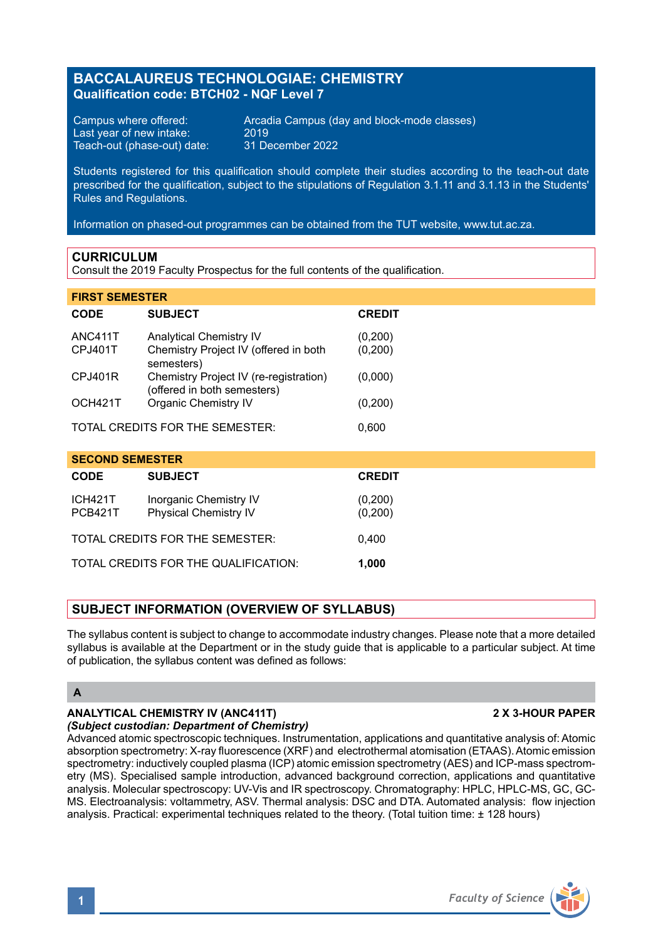## **BACCALAUREUS TECHNOLOGIAE: CHEMISTRY Qualification code: BTCH02 - NQF Level 7**

Last year of new intake: 2019<br>Teach-out (phase-out) date: 31 December 2022 Teach-out (phase-out) date:

Campus where offered: Arcadia Campus (day and block-mode classes)<br>Last vear of new intake: 2019

Students registered for this qualification should complete their studies according to the teach-out date prescribed for the qualification, subject to the stipulations of Regulation 3.1.11 and 3.1.13 in the Students' Rules and Regulations.

Information on phased-out programmes can be obtained from the TUT website, www.tut.ac.za.

#### **CURRICULUM**

Consult the 2019 Faculty Prospectus for the full contents of the qualification.

|  | <b>FIRST SEMESTER</b> |  |  |
|--|-----------------------|--|--|
|  |                       |  |  |

| CODE                                     | <b>SUBJECT</b>                                                                        | <b>CREDIT</b>      |  |  |
|------------------------------------------|---------------------------------------------------------------------------------------|--------------------|--|--|
| ANC411T<br><b>CPJ401T</b>                | <b>Analytical Chemistry IV</b><br>Chemistry Project IV (offered in both<br>semesters) | (0,200)<br>(0,200) |  |  |
| CPJ401R                                  | Chemistry Project IV (re-registration)<br>(offered in both semesters)                 | (0,000)            |  |  |
| OCH421T                                  | Organic Chemistry IV                                                                  | (0,200)            |  |  |
| TOTAL CREDITS FOR THE SEMESTER:<br>0.600 |                                                                                       |                    |  |  |

| <b>SECOND SEMESTER</b>                        |                                                 |                    |  |  |  |  |
|-----------------------------------------------|-------------------------------------------------|--------------------|--|--|--|--|
| <b>CODE</b>                                   | <b>SUBJECT</b>                                  | <b>CREDIT</b>      |  |  |  |  |
| <b>ICH421T</b><br><b>PCB421T</b>              | Inorganic Chemistry IV<br>Physical Chemistry IV | (0,200)<br>(0,200) |  |  |  |  |
| TOTAL CREDITS FOR THE SEMESTER:<br>0.400      |                                                 |                    |  |  |  |  |
| TOTAL CREDITS FOR THE QUALIFICATION:<br>1.000 |                                                 |                    |  |  |  |  |

### **SUBJECT INFORMATION (OVERVIEW OF SYLLABUS)**

The syllabus content is subject to change to accommodate industry changes. Please note that a more detailed syllabus is available at the Department or in the study guide that is applicable to a particular subject. At time of publication, the syllabus content was defined as follows:

### **A**

#### **ANALYTICAL CHEMISTRY IV (ANC411T) 2 X 3-HOUR PAPER** *(Subject custodian: Department of Chemistry)*

Advanced atomic spectroscopic techniques. Instrumentation, applications and quantitative analysis of: Atomic absorption spectrometry: X-ray fluorescence (XRF) and electrothermal atomisation (ETAAS). Atomic emission spectrometry: inductively coupled plasma (ICP) atomic emission spectrometry (AES) and ICP-mass spectrometry (MS). Specialised sample introduction, advanced background correction, applications and quantitative analysis. Molecular spectroscopy: UV-Vis and IR spectroscopy. Chromatography: HPLC, HPLC-MS, GC, GC-MS. Electroanalysis: voltammetry, ASV. Thermal analysis: DSC and DTA. Automated analysis: flow injection analysis. Practical: experimental techniques related to the theory. (Total tuition time: ± 128 hours)